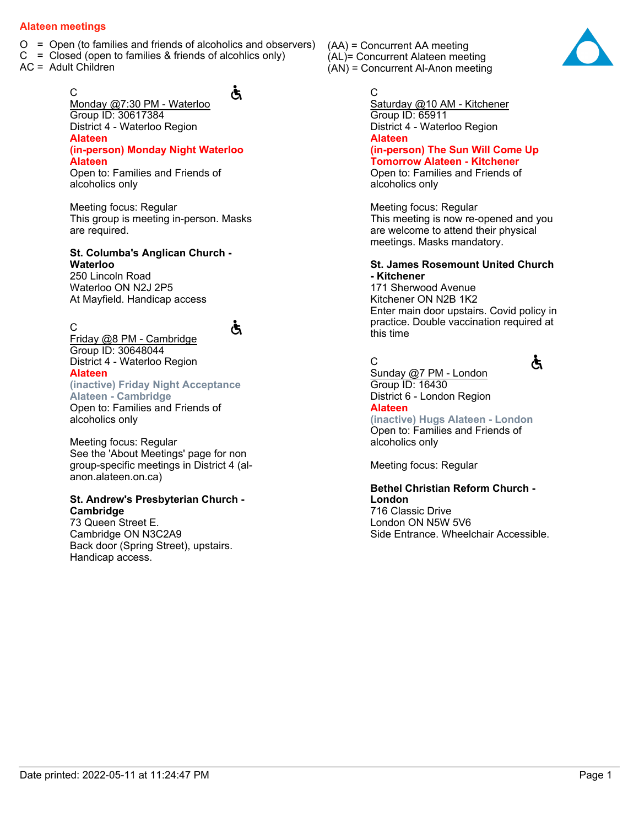- $O =$  Open (to families and friends of alcoholics and observers)
- $C = Closed$  (open to families & friends of alcohlics only)
- AC = Adult Children

C

# Ğ

Ğ

Monday @7:30 PM - Waterloo Group ID: 30617384 District 4 - Waterloo Region **Alateen (in-person) Monday Night Waterloo Alateen** Open to: Families and Friends of

alcoholics only

Meeting focus: Regular This group is meeting in-person. Masks are required.

#### **St. Columba's Anglican Church - Waterloo**

250 Lincoln Road Waterloo ON N2J 2P5 At Mayfield. Handicap access

C Friday @8 PM - Cambridge Group ID: 30648044 District 4 - Waterloo Region **Alateen**

#### **(inactive) Friday Night Acceptance Alateen - Cambridge**

Open to: Families and Friends of alcoholics only

Meeting focus: Regular See the 'About Meetings' page for non group-specific meetings in District 4 (alanon.alateen.on.ca)

#### **St. Andrew's Presbyterian Church - Cambridge**

73 Queen Street E. Cambridge ON N3C2A9 Back door (Spring Street), upstairs. Handicap access.

(AA) = Concurrent AA meeting (AL)= Concurrent Alateen meeting (AN) = Concurrent Al-Anon meeting

## C

Saturday @10 AM - Kitchener Group ID: 65911 District 4 - Waterloo Region **Alateen (in-person) The Sun Will Come Up Tomorrow Alateen - Kitchener** Open to: Families and Friends of alcoholics only

Meeting focus: Regular This meeting is now re-opened and you are welcome to attend their physical meetings. Masks mandatory.

#### **St. James Rosemount United Church - Kitchener**

171 Sherwood Avenue Kitchener ON N2B 1K2 Enter main door upstairs. Covid policy in practice. Double vaccination required at this time

# C



Sunday @7 PM - London Group ID: 16430 District 6 - London Region **Alateen**

**(inactive) Hugs Alateen - London** Open to: Families and Friends of alcoholics only

Meeting focus: Regular

# **Bethel Christian Reform Church - London**

716 Classic Drive London ON N5W 5V6 Side Entrance. Wheelchair Accessible.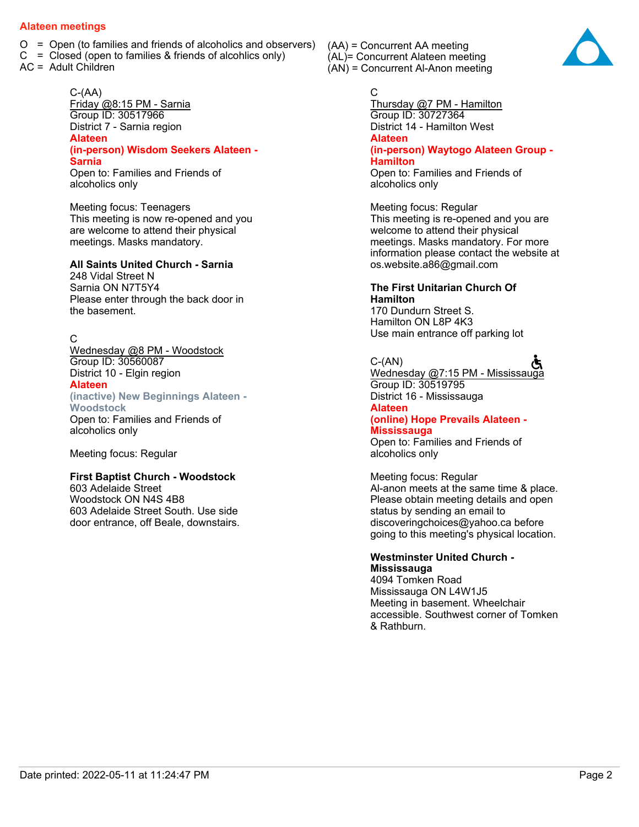- $O =$  Open (to families and friends of alcoholics and observers)
- $C = Closed$  (open to families & friends of alcohlics only)
- AC = Adult Children

C-(AA) Friday @8:15 PM - Sarnia Group ID: 30517966 District 7 - Sarnia region **Alateen (in-person) Wisdom Seekers Alateen - Sarnia** Open to: Families and Friends of alcoholics only

Meeting focus: Teenagers This meeting is now re-opened and you are welcome to attend their physical meetings. Masks mandatory.

#### **All Saints United Church - Sarnia**

248 Vidal Street N Sarnia ON N7T5Y4 Please enter through the back door in the basement.

#### C

Wednesday @8 PM - Woodstock Group ID: 30560087 District 10 - Elgin region **Alateen (inactive) New Beginnings Alateen - Woodstock**

Open to: Families and Friends of alcoholics only

Meeting focus: Regular

#### **First Baptist Church - Woodstock**

603 Adelaide Street Woodstock ON N4S 4B8 603 Adelaide Street South. Use side door entrance, off Beale, downstairs. (AA) = Concurrent AA meeting (AL)= Concurrent Alateen meeting (AN) = Concurrent Al-Anon meeting

#### C

Thursday @7 PM - Hamilton Group ID: 30727364 District 14 - Hamilton West **Alateen (in-person) Waytogo Alateen Group - Hamilton** Open to: Families and Friends of alcoholics only

Meeting focus: Regular This meeting is re-opened and you are welcome to attend their physical meetings. Masks mandatory. For more information please contact the website at os.website.a86@gmail.com

#### **The First Unitarian Church Of Hamilton**

170 Dundurn Street S. Hamilton ON L8P 4K3 Use main entrance off parking lot

#### $C-(AN)$

Wednesday @7:15 PM - Mississauga Group ID: 30519795 District 16 - Mississauga **Alateen**

# **(online) Hope Prevails Alateen -**

**Mississauga** Open to: Families and Friends of alcoholics only

Meeting focus: Regular Al-anon meets at the same time & place. Please obtain meeting details and open status by sending an email to discoveringchoices@yahoo.ca before going to this meeting's physical location.

#### **Westminster United Church - Mississauga**

4094 Tomken Road Mississauga ON L4W1J5 Meeting in basement. Wheelchair accessible. Southwest corner of Tomken & Rathburn.

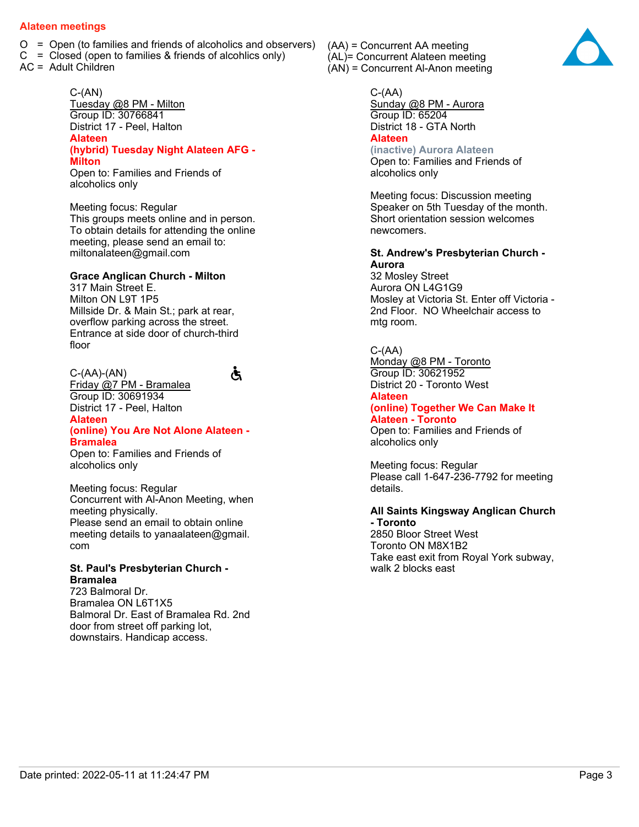- $O =$  Open (to families and friends of alcoholics and observers)
- $C = Closed$  (open to families & friends of alcohlics only)
- AC = Adult Children

 $C-(AN)$ Tuesday @8 PM - Milton Group ID: 30766841 District 17 - Peel, Halton **Alateen (hybrid) Tuesday Night Alateen AFG - Milton** Open to: Families and Friends of

alcoholics only

Meeting focus: Regular This groups meets online and in person. To obtain details for attending the online meeting, please send an email to: miltonalateen@gmail.com

#### **Grace Anglican Church - Milton**

317 Main Street E. Milton ON L9T 1P5 Millside Dr. & Main St.; park at rear, overflow parking across the street. Entrance at side door of church-third floor

Ğ

C-(AA)-(AN) Friday @7 PM - Bramalea Group ID: 30691934 District 17 - Peel, Halton **Alateen (online) You Are Not Alone Alateen - Bramalea**

Open to: Families and Friends of alcoholics only

Meeting focus: Regular Concurrent with Al-Anon Meeting, when meeting physically. Please send an email to obtain online meeting details to yanaalateen@gmail. com

#### **St. Paul's Presbyterian Church - Bramalea**

723 Balmoral Dr. Bramalea ON L6T1X5 Balmoral Dr. East of Bramalea Rd. 2nd door from street off parking lot, downstairs. Handicap access.

(AA) = Concurrent AA meeting (AL)= Concurrent Alateen meeting (AN) = Concurrent Al-Anon meeting



Sunday @8 PM - Aurora Group ID: 65204 District 18 - GTA North **Alateen (inactive) Aurora Alateen**

Open to: Families and Friends of alcoholics only

Meeting focus: Discussion meeting Speaker on 5th Tuesday of the month. Short orientation session welcomes newcomers.

#### **St. Andrew's Presbyterian Church - Aurora**

32 Mosley Street Aurora ON L4G1G9 Mosley at Victoria St. Enter off Victoria - 2nd Floor. NO Wheelchair access to mtg room.

#### $C-(AA)$

Monday @8 PM - Toronto Group ID: 30621952 District 20 - Toronto West **Alateen (online) Together We Can Make It Alateen - Toronto** Open to: Families and Friends of alcoholics only

Meeting focus: Regular Please call 1-647-236-7792 for meeting details.

### **All Saints Kingsway Anglican Church - Toronto**

2850 Bloor Street West Toronto ON M8X1B2 Take east exit from Royal York subway, walk 2 blocks east